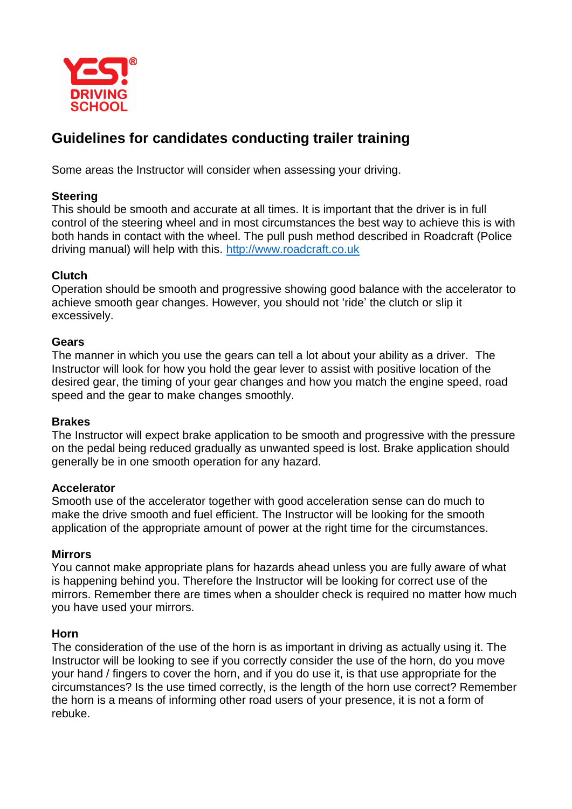

# **Guidelines for candidates conducting trailer training**

Some areas the Instructor will consider when assessing your driving.

# **Steering**

This should be smooth and accurate at all times. It is important that the driver is in full control of the steering wheel and in most circumstances the best way to achieve this is with both hands in contact with the wheel. The pull push method described in Roadcraft (Police driving manual) will help with this. [http://www.roadcraft.co.uk](http://www.roadcraft.co.uk/)

# **Clutch**

Operation should be smooth and progressive showing good balance with the accelerator to achieve smooth gear changes. However, you should not 'ride' the clutch or slip it excessively.

## **Gears**

The manner in which you use the gears can tell a lot about your ability as a driver. The Instructor will look for how you hold the gear lever to assist with positive location of the desired gear, the timing of your gear changes and how you match the engine speed, road speed and the gear to make changes smoothly.

## **Brakes**

The Instructor will expect brake application to be smooth and progressive with the pressure on the pedal being reduced gradually as unwanted speed is lost. Brake application should generally be in one smooth operation for any hazard.

# **Accelerator**

Smooth use of the accelerator together with good acceleration sense can do much to make the drive smooth and fuel efficient. The Instructor will be looking for the smooth application of the appropriate amount of power at the right time for the circumstances.

# **Mirrors**

You cannot make appropriate plans for hazards ahead unless you are fully aware of what is happening behind you. Therefore the Instructor will be looking for correct use of the mirrors. Remember there are times when a shoulder check is required no matter how much you have used your mirrors.

## **Horn**

The consideration of the use of the horn is as important in driving as actually using it. The Instructor will be looking to see if you correctly consider the use of the horn, do you move your hand / fingers to cover the horn, and if you do use it, is that use appropriate for the circumstances? Is the use timed correctly, is the length of the horn use correct? Remember the horn is a means of informing other road users of your presence, it is not a form of rebuke.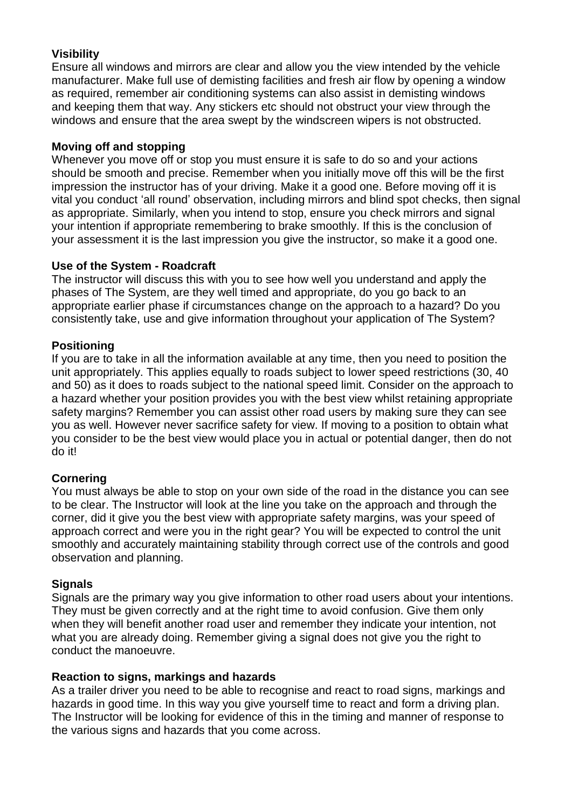# **Visibility**

Ensure all windows and mirrors are clear and allow you the view intended by the vehicle manufacturer. Make full use of demisting facilities and fresh air flow by opening a window as required, remember air conditioning systems can also assist in demisting windows and keeping them that way. Any stickers etc should not obstruct your view through the windows and ensure that the area swept by the windscreen wipers is not obstructed.

# **Moving off and stopping**

Whenever you move off or stop you must ensure it is safe to do so and your actions should be smooth and precise. Remember when you initially move off this will be the first impression the instructor has of your driving. Make it a good one. Before moving off it is vital you conduct 'all round' observation, including mirrors and blind spot checks, then signal as appropriate. Similarly, when you intend to stop, ensure you check mirrors and signal your intention if appropriate remembering to brake smoothly. If this is the conclusion of your assessment it is the last impression you give the instructor, so make it a good one.

# **Use of the System - Roadcraft**

The instructor will discuss this with you to see how well you understand and apply the phases of The System, are they well timed and appropriate, do you go back to an appropriate earlier phase if circumstances change on the approach to a hazard? Do you consistently take, use and give information throughout your application of The System?

# **Positioning**

If you are to take in all the information available at any time, then you need to position the unit appropriately. This applies equally to roads subject to lower speed restrictions (30, 40 and 50) as it does to roads subject to the national speed limit. Consider on the approach to a hazard whether your position provides you with the best view whilst retaining appropriate safety margins? Remember you can assist other road users by making sure they can see you as well. However never sacrifice safety for view. If moving to a position to obtain what you consider to be the best view would place you in actual or potential danger, then do not do it!

# **Cornering**

You must always be able to stop on your own side of the road in the distance you can see to be clear. The Instructor will look at the line you take on the approach and through the corner, did it give you the best view with appropriate safety margins, was your speed of approach correct and were you in the right gear? You will be expected to control the unit smoothly and accurately maintaining stability through correct use of the controls and good observation and planning.

## **Signals**

Signals are the primary way you give information to other road users about your intentions. They must be given correctly and at the right time to avoid confusion. Give them only when they will benefit another road user and remember they indicate your intention, not what you are already doing. Remember giving a signal does not give you the right to conduct the manoeuvre.

## **Reaction to signs, markings and hazards**

As a trailer driver you need to be able to recognise and react to road signs, markings and hazards in good time. In this way you give yourself time to react and form a driving plan. The Instructor will be looking for evidence of this in the timing and manner of response to the various signs and hazards that you come across.